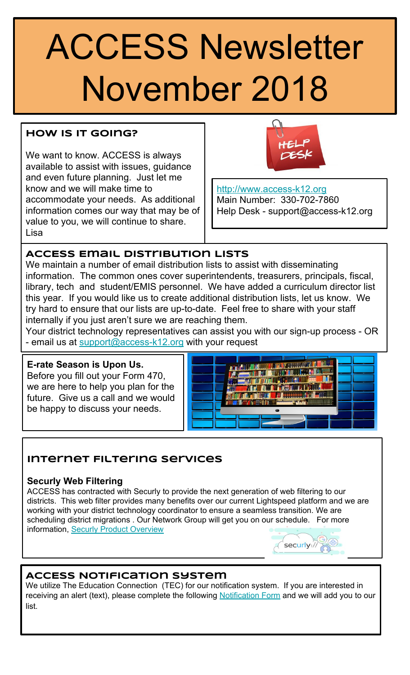# ACCESS Newsletter November 2018

# **How Is It Going?**

We want to know. ACCESS is always available to assist with issues, guidance and even future planning. Just let me know and we will make time to accommodate your needs. As additional information comes our way that may be of value to you, we will continue to share. Lisa



<http://www.access-k12.org> Main Number: 330-702-7860 Help Desk - support@access-k12.org

# **ACCESS Email Distribution Lists**

We maintain a number of email distribution lists to assist with disseminating information. The common ones cover superintendents, treasurers, principals, fiscal, library, tech and student/EMIS personnel. We have added a curriculum director list this year. If you would like us to create additional distribution lists, let us know. We try hard to ensure that our lists are up-to-date. Feel free to share with your staff internally if you just aren't sure we are reaching them.

Your district technology representatives can assist you with our sign-up process - OR - email us at [support@access-k12.org](mailto:support@access-k12.org) with your request

## **E-rate Season is Upon Us.**

Before you fill out your Form 470, we are here to help you plan for the future. Give us a call and we would be happy to discuss your needs.



# **Internet Filtering Services**

# **Securly Web Filtering**

ACCESS has contracted with Securly to provide the next generation of web filtering to our districts. This web filter provides many benefits over our current Lightspeed platform and we are working with your district technology coordinator to ensure a seamless transition. We are scheduling district migrations . Our Network Group will get you on our schedule. For more information, [Securly Product Overview](https://drive.google.com/file/d/0B2OyPq3uYsS3N1l1eUFRWlB5WG1EX2N0TDVXVTExSkNOZFJF/view?usp=sharing)



# **ACCESS Notification System**

We utilize The Education Connection (TEC) for our notification system. If you are interested in receiving an alert (text), please complete the following [Notification Form](https://docs.google.com/forms/d/1MY-oVlh_PZ4IYUYMONDG3448V0fS7No3q_RcNmd0Gmg/edit) and we will add you to our list.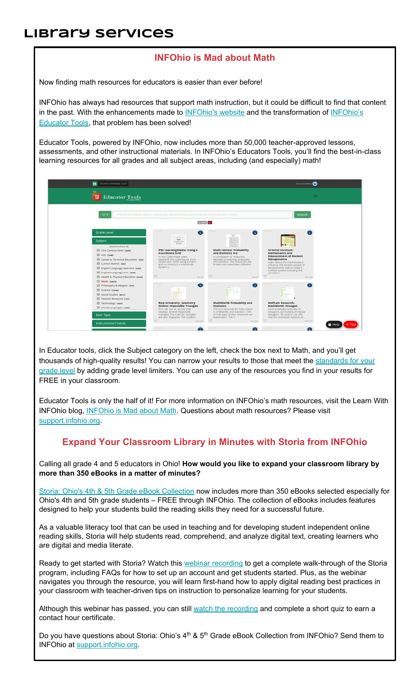# **Library Services**

#### **INFOhio is Mad about Math**

Now finding math resources for educators is easier than ever before!

INFOhio has always had resources that support math instruction, but it could be difficult to find that content in the past. With the enhancements made t[o INFOhio's website](https://www.infohio.org/) and the transformation of [INFOhio's](https://www.infohio.org/educator-tools) [Educator Tools](https://www.infohio.org/educator-tools), that problem has been solved!

Educator Tools, powered by INFOhio, now includes more than 50,000 teacher-approved lessons, assessments, and other instructional materials. In INFOhio's Educators Tools, you'll find the best-in-class learning resources for all grades and all subject areas, including (and especially) math!



In Educator tools, click the Subject category on the left, check the box next to Math, and you'll get thousands of high-quality results! You can narrow your results to those that meet th[e standards for your](https://education.ohio.gov/getattachment/Topics/Learning-in-Ohio/Mathematics/Ohio-s-Learning-Standards-in-Mathematics/MATH-Standards-2017.pdf) [grade level](https://education.ohio.gov/getattachment/Topics/Learning-in-Ohio/Mathematics/Ohio-s-Learning-Standards-in-Mathematics/MATH-Standards-2017.pdf) by adding grade level limiters. You can use any of the resources you find in your results for FREE in your classroom.

Educator Tools is only the half of it! For more information on INFOhio's math resources, visit the Learn With INFOhio blog[, INFOhio is Mad about Math.](https://www.infohio.org/blog/item/infohio-is-mad-about-math) Questions about math resources? Please visi[t](https://support.infohio.org/)  [support.infohio.org](https://support.infohio.org/).

## **Expand Your Classroom Library in Minutes with Storia from INFOhio**

Calling all grade 4 and 5 educators in Ohio! **How would you like to expand your classroom library by more than 350 eBooks in a matter of minutes?**

[Storia: Ohio's 4th & 5th Grade eBook Collection](https://www.infohio.org/resources/item/storia) now includes more than 350 eBooks selected especially for Ohio's 4th and 5th grade students – FREE through INFOhio. The collection of eBooks includes features designed to help your students build the reading skills they need for a successful future.

As a valuable literacy tool that can be used in teaching and for developing student independent online reading skills, Storia will help students read, comprehend, and analyze digital text, creating learners who are digital and media literate.

Ready to get started with Storia? Watch thi[s webinar recording](https://www.infohio.org/pd/webinars/recordings/item/lwi20181025) to get a complete walk-through of the Storia program, including FAQs for how to set up an account and get students started. Plus, as the webinar navigates you through the resource, you will learn first-hand how to apply digital reading best practices in your classroom with teacher-driven tips on instruction to personalize learning for your students.

Although this webinar has passed, you can stil[l watch the recording](https://www.infohio.org/pd/webinars/recordings/item/lwi20181025) and complete a short quiz to earn a contact hour certificate.

Do you have questions about Storia: Ohio's 4<sup>th</sup> & 5<sup>th</sup> Grade eBook Collection from INFOhio? Send them to INFOhio a[t support.infohio.org.](https://support.infohio.org/)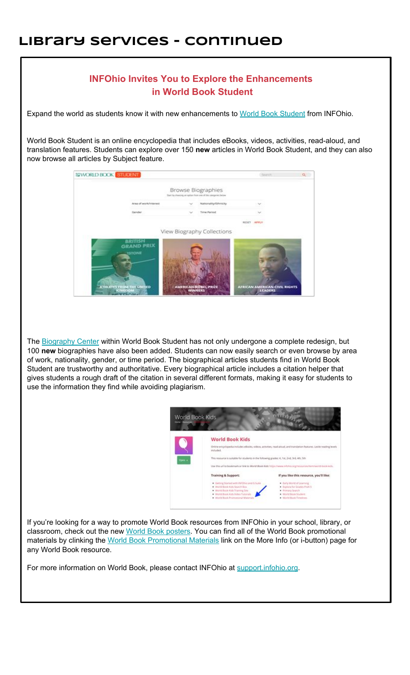# **Library Services - continued**



Th[e Biography Center](https://www.worldbookonline.com/student-new/#/biocenter/home) within World Book Student has not only undergone a complete redesign, but 100 **new** biographies have also been added. Students can now easily search or even browse by area of work, nationality, gender, or time period. The biographical articles students find in World Book Student are trustworthy and authoritative. Every biographical article includes a citation helper that gives students a rough draft of the citation in several different formats, making it easy for students to use the information they find while avoiding plagiarism.

| World Book Kids |                                                                                                                                                                                                                          |                                                                                                                                                                                                                                                                                                                                    |  |
|-----------------|--------------------------------------------------------------------------------------------------------------------------------------------------------------------------------------------------------------------------|------------------------------------------------------------------------------------------------------------------------------------------------------------------------------------------------------------------------------------------------------------------------------------------------------------------------------------|--|
| Open +          | <b>World Book Kids</b><br>included.                                                                                                                                                                                      | Online encyclopedia includes eBooks, videos; activities, read-aloud, and translation features. Lekile reading levels<br>This resource is suitable for students in the following grades: K, 1st, 2nd, 3rd, 4th, 5th<br>Use this uri to bookmark or link to World Book Kids: https://www.infohio.org/recources/term/world-book-kids. |  |
|                 | <b>Training &amp; Support:</b><br>· Getting Started with INFOhio and G Suite<br>- World Book Kids Salech Box<br>World Book Kids Training Ster<br>· World Book Kids Video Tutoriats<br>. World Book Promotional Materials | If you like this resource, you'll like:<br>· Early World of Learning<br>Explora for Grades Preit-5<br>. Primary Search<br>World Book Student<br>. World Book Tenelines                                                                                                                                                             |  |

If you're looking for a way to promote World Book resources from INFOhio in your school, library, or classroom, check out the ne[w World Book posters](https://www.worldbookonline.com/training/promote/promote.html). You can find all of the World Book promotional materials by clinking the [World Book Promotional Materials](https://www.infohio.org/document-library/item/world-book-promotional-materials) link on the More Info (or i-button) page for any World Book resource.

For more information on World Book, please contact INFOhio at [support.infohio.org.](https://support.infohio.org/)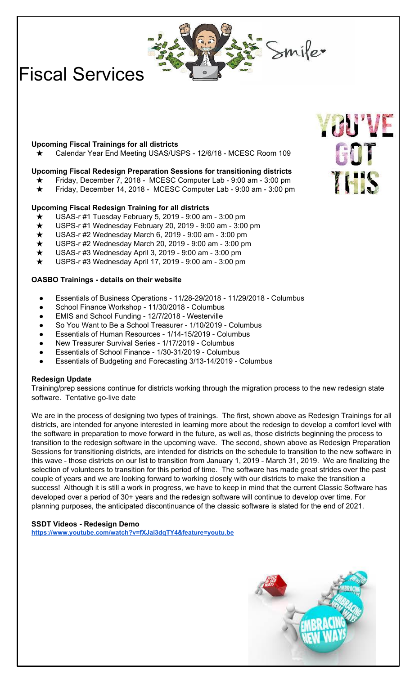$\sum$ mifer

# Fiscal Services

#### **Upcoming Fiscal Trainings for all districts**

Calendar Year End Meeting USAS/USPS - 12/6/18 - MCESC Room 109

#### **Upcoming Fiscal Redesign Preparation Sessions for transitioning districts**

- Friday, December 7, 2018 MCESC Computer Lab 9:00 am 3:00 pm
- Friday, December 14, 2018 MCESC Computer Lab 9:00 am 3:00 pm

#### **Upcoming Fiscal Redesign Training for all districts**

- USAS-r #1 Tuesday February 5, 2019 9:00 am 3:00 pm
- USPS-r #1 Wednesday February 20, 2019 9:00 am 3:00 pm
- USAS-r #2 Wednesday March 6, 2019 9:00 am 3:00 pm
- USPS-r #2 Wednesday March 20, 2019 9:00 am 3:00 pm
- USAS-r #3 Wednesday April 3, 2019 9:00 am 3:00 pm
- USPS-r #3 Wednesday April 17, 2019 9:00 am 3:00 pm

#### **OASBO Trainings - details on their website**

- Essentials of Business Operations 11/28-29/2018 11/29/2018 Columbus
- School Finance Workshop 11/30/2018 Columbus
- EMIS and School Funding 12/7/2018 Westerville
- So You Want to Be a School Treasurer 1/10/2019 Columbus
- Essentials of Human Resources 1/14-15/2019 Columbus
- New Treasurer Survival Series 1/17/2019 Columbus
- Essentials of School Finance 1/30-31/2019 Columbus
- Essentials of Budgeting and Forecasting 3/13-14/2019 Columbus

#### **Redesign Update**

Training/prep sessions continue for districts working through the migration process to the new redesign state software. Tentative go-live date

We are in the process of designing two types of trainings. The first, shown above as Redesign Trainings for all districts, are intended for anyone interested in learning more about the redesign to develop a comfort level with the software in preparation to move forward in the future, as well as, those districts beginning the process to transition to the redesign software in the upcoming wave. The second, shown above as Redesign Preparation Sessions for transitioning districts, are intended for districts on the schedule to transition to the new software in this wave - those districts on our list to transition from January 1, 2019 - March 31, 2019. We are finalizing the selection of volunteers to transition for this period of time. The software has made great strides over the past couple of years and we are looking forward to working closely with our districts to make the transition a success! Although it is still a work in progress, we have to keep in mind that the current Classic Software has developed over a period of 30+ years and the redesign software will continue to develop over time. For planning purposes, the anticipated discontinuance of the classic software is slated for the end of 2021.

#### **SSDT Videos - Redesign Demo <https://www.youtube.com/watch?v=fXJai3dqTY4&feature=youtu.be>**



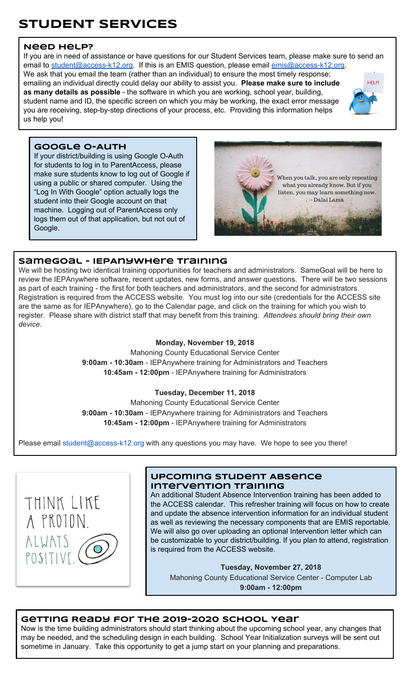# **STUDENT SERVICES**

#### **Need Help?**

If you are in need of assistance or have questions for our Student Services team, please make sure to send an email to [student@access-k12.org](mailto:student@access-k12.org). If this is an EMIS question, please email [emis@access-k12.org](mailto:emis@access-k12.org). We ask that you email the team (rather than an individual) to ensure the most timely response;

emailing an individual directly could delay our ability to assist you. **Please make sure to include as many details as possible** - the software in which you are working, school year, building, student name and ID, the specific screen on which you may be working, the exact error message you are receiving, step-by-step directions of your process, etc. Providing this information helps us help you!



#### **Google O-Auth**

If your district/building is using Google O-Auth for students to log in to ParentAccess, please make sure students know to log out of Google if using a public or shared computer. Using the "Log In With Google" option actually logs the student into their Google account on that machine. Logging out of ParentAccess only logs them out of that application, but not out of Google.



#### **SameGoal - IEPAnywhere Training**

We will be hosting two identical training opportunities for teachers and administrators. SameGoal will be here to review the IEPAnywhere software, recent updates, new forms, and answer questions. There will be two sessions as part of each training - the first for both teachers and administrators, and the second for administrators. Registration is required from the ACCESS website. You must log into our site (credentials for the ACCESS site are the same as for IEPAnywhere), go to the Calendar page, and click on the training for which you wish to register. Please share with district staff that may benefit from this training. *Attendees should bring their own device.*

#### **Monday, November 19, 2018**

Mahoning County Educational Service Center **9:00am - 10:30am** - IEPAnywhere training for Administrators and Teachers **10:45am - 12:00pm** - IEPAnywhere training for Administrators

#### **Tuesday, December 11, 2018**

Mahoning County Educational Service Center **9:00am - 10:30am** - IEPAnywhere training for Administrators and Teachers **10:45am - 12:00pm** - IEPAnywhere training for Administrators

Please email student@access-k12.org with any questions you may have. We hope to see you there!



#### **Upcoming Student Absence Intervention Training**

An additional Student Absence Intervention training has been added to the ACCESS calendar. This refresher training will focus on how to create and update the absence intervention information for an individual student as well as reviewing the necessary components that are EMIS reportable. We will also go over uploading an optional Intervention letter which can be customizable to your district/building. If you plan to attend, registration is required from the ACCESS website.

**Tuesday, November 27, 2018**

Mahoning County Educational Service Center - Computer Lab **9:00am - 12:00pm**

#### **Getting Ready for the 2019-2020 School Year**

Now is the time building administrators should start thinking about the upcoming school year, any changes that may be needed, and the scheduling design in each building. School Year Initialization surveys will be sent out sometime in January. Take this opportunity to get a jump start on your planning and preparations.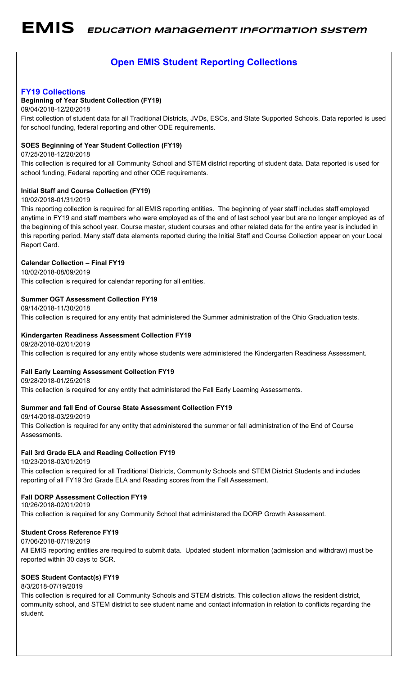# **Open EMIS Student Reporting Collections**

#### **FY19 Collections**

#### **Beginning of Year Student Collection (FY19)**

09/04/2018-12/20/2018

First collection of student data for all Traditional Districts, JVDs, ESCs, and State Supported Schools. Data reported is used for school funding, federal reporting and other ODE requirements.

#### **SOES Beginning of Year Student Collection (FY19)**

#### 07/25/2018-12/20/2018

This collection is required for all Community School and STEM district reporting of student data. Data reported is used for school funding, Federal reporting and other ODE requirements.

#### **Initial Staff and Course Collection (FY19)**

#### 10/02/2018-01/31/2019

This reporting collection is required for all EMIS reporting entities. The beginning of year staff includes staff employed anytime in FY19 and staff members who were employed as of the end of last school year but are no longer employed as of the beginning of this school year. Course master, student courses and other related data for the entire year is included in this reporting period. Many staff data elements reported during the Initial Staff and Course Collection appear on your Local Report Card.

#### **Calendar Collection – Final FY19**

10/02/2018-08/09/2019 This collection is required for calendar reporting for all entities.

#### **Summer OGT Assessment Collection FY19**

09/14/2018-11/30/2018 This collection is required for any entity that administered the Summer administration of the Ohio Graduation tests.

#### **Kindergarten Readiness Assessment Collection FY19**

09/28/2018-02/01/2019

This collection is required for any entity whose students were administered the Kindergarten Readiness Assessment.

#### **Fall Early Learning Assessment Collection FY19**

09/28/2018-01/25/2018

This collection is required for any entity that administered the Fall Early Learning Assessments.

#### **Summer and fall End of Course State Assessment Collection FY19**

09/14/2018-03/29/2019

This Collection is required for any entity that administered the summer or fall administration of the End of Course Assessments.

#### **Fall 3rd Grade ELA and Reading Collection FY19**

10/23/2018-03/01/2019

10/26/2018-02/01/2019

This collection is required for all Traditional Districts, Community Schools and STEM District Students and includes reporting of all FY19 3rd Grade ELA and Reading scores from the Fall Assessment.

#### **Fall DORP Assessment Collection FY19**

This collection is required for any Community School that administered the DORP Growth Assessment.

#### **Student Cross Reference FY19**

#### 07/06/2018-07/19/2019

All EMIS reporting entities are required to submit data. Updated student information (admission and withdraw) must be reported within 30 days to SCR.

#### **SOES Student Contact(s) FY19**

#### 8/3/2018-07/19/2019

This collection is required for all Community Schools and STEM districts. This collection allows the resident district, community school, and STEM district to see student name and contact information in relation to conflicts regarding the student.